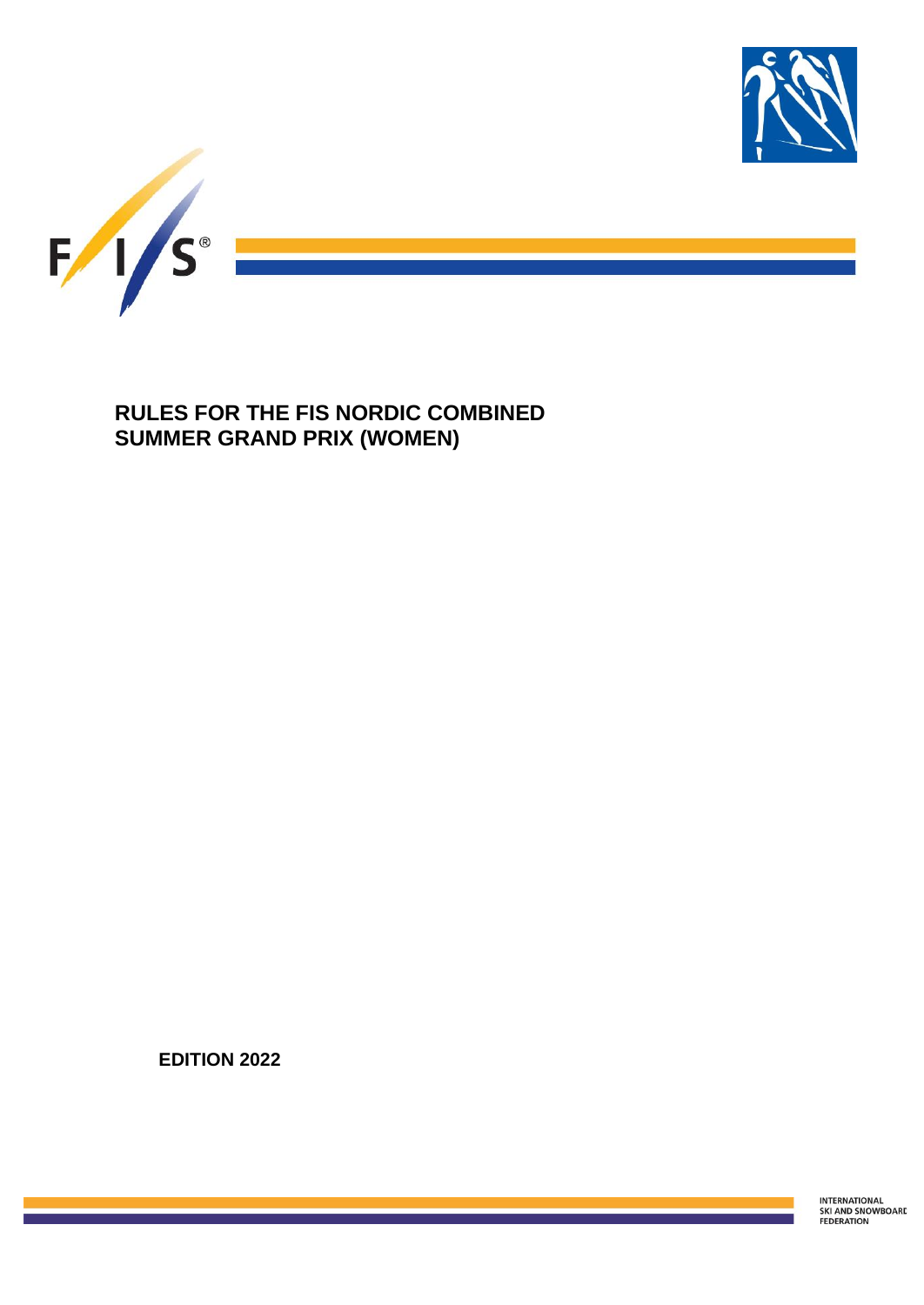

**RULES FOR THE FIS NORDIC COMBINED SUMMER GRAND PRIX (WOMEN)**

**EDITION 2022**

INTERNATIONAL<br>SKI AND SNOWBOARD<br>FEDERATION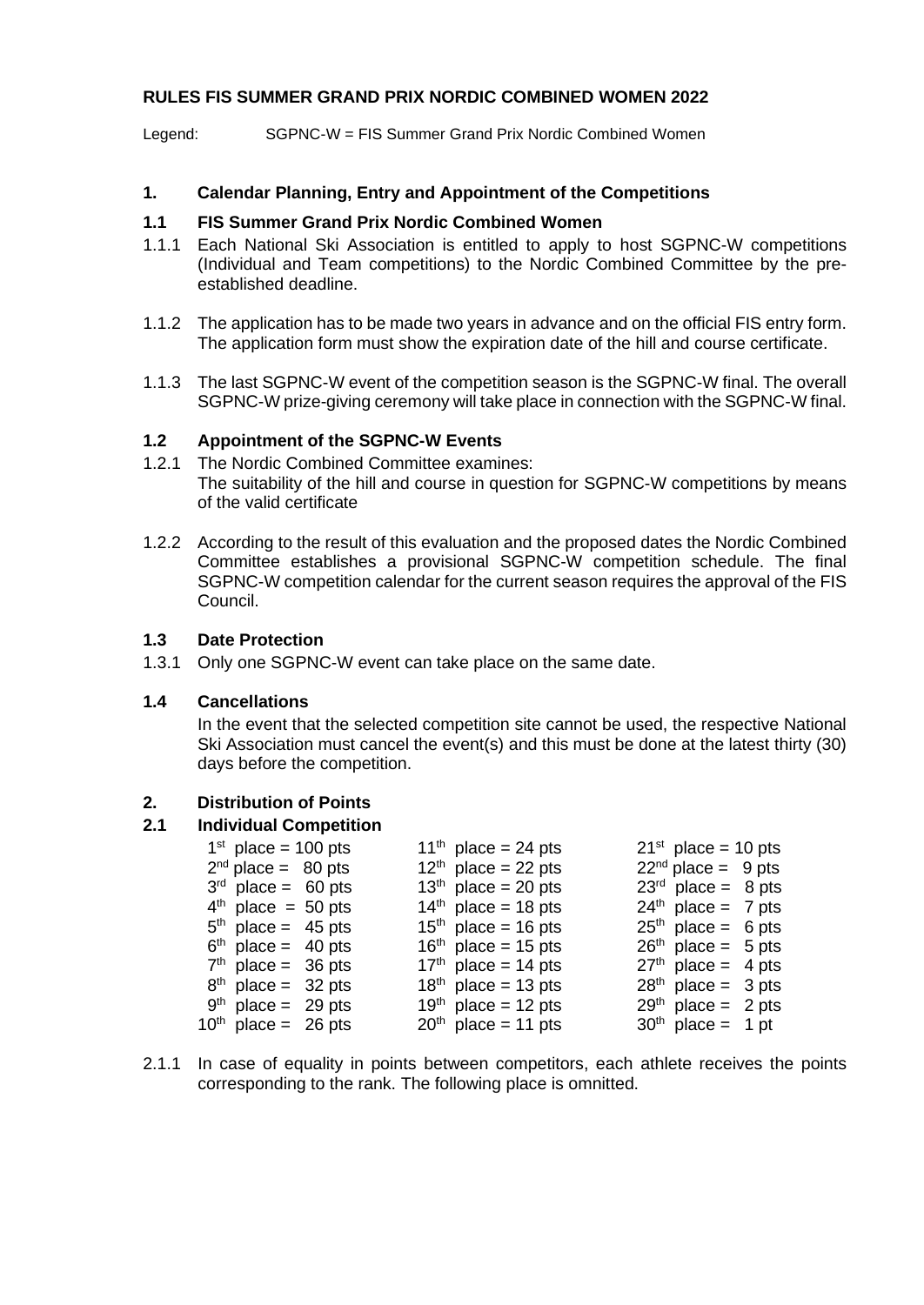### **RULES FIS SUMMER GRAND PRIX NORDIC COMBINED WOMEN 2022**

Legend: SGPNC-W = FIS Summer Grand Prix Nordic Combined Women

#### **1. Calendar Planning, Entry and Appointment of the Competitions**

#### **1.1 FIS Summer Grand Prix Nordic Combined Women**

- 1.1.1 Each National Ski Association is entitled to apply to host SGPNC-W competitions (Individual and Team competitions) to the Nordic Combined Committee by the preestablished deadline.
- 1.1.2 The application has to be made two years in advance and on the official FIS entry form. The application form must show the expiration date of the hill and course certificate.
- 1.1.3 The last SGPNC-W event of the competition season is the SGPNC-W final. The overall SGPNC-W prize-giving ceremony will take place in connection with the SGPNC-W final.

#### **1.2 Appointment of the SGPNC-W Events**

- 1.2.1 The Nordic Combined Committee examines: The suitability of the hill and course in question for SGPNC-W competitions by means of the valid certificate
- 1.2.2 According to the result of this evaluation and the proposed dates the Nordic Combined Committee establishes a provisional SGPNC-W competition schedule. The final SGPNC-W competition calendar for the current season requires the approval of the FIS Council.

#### **1.3 Date Protection**

1.3.1 Only one SGPNC-W event can take place on the same date.

#### **1.4 Cancellations**

In the event that the selected competition site cannot be used, the respective National Ski Association must cancel the event(s) and this must be done at the latest thirty (30) days before the competition.

### **2. Distribution of Points**

#### **2.1 Individual Competition**

| $1st$ place = 100 pts    | $11th$ place = 24 pts | $21st$ place = 10 pts |
|--------------------------|-----------------------|-----------------------|
| $2nd$ place = 80 pts     | $12th$ place = 22 pts | $22nd$ place = 9 pts  |
| $3rd$ place = 60 pts     | $13th$ place = 20 pts | $23rd$ place = 8 pts  |
| $4th$ place = 50 pts     | $14th$ place = 18 pts | $24th$ place = 7 pts  |
| $5th$ place = 45 pts     | $15th$ place = 16 pts | $25th$ place = 6 pts  |
| $6th$ place = 40 pts     | $16th$ place = 15 pts | $26th$ place = 5 pts  |
| $7th$ place = 36 pts     | $17th$ place = 14 pts | $27th$ place = 4 pts  |
| $8th$ place = 32 pts     | $18th$ place = 13 pts | $28th$ place = 3 pts  |
| $9th$ place = 29 pts     | $19th$ place = 12 pts | $29th$ place = 2 pts  |
| $10^{th}$ place = 26 pts | $20th$ place = 11 pts | $30th$ place = 1 pt   |

2.1.1 In case of equality in points between competitors, each athlete receives the points corresponding to the rank. The following place is omnitted.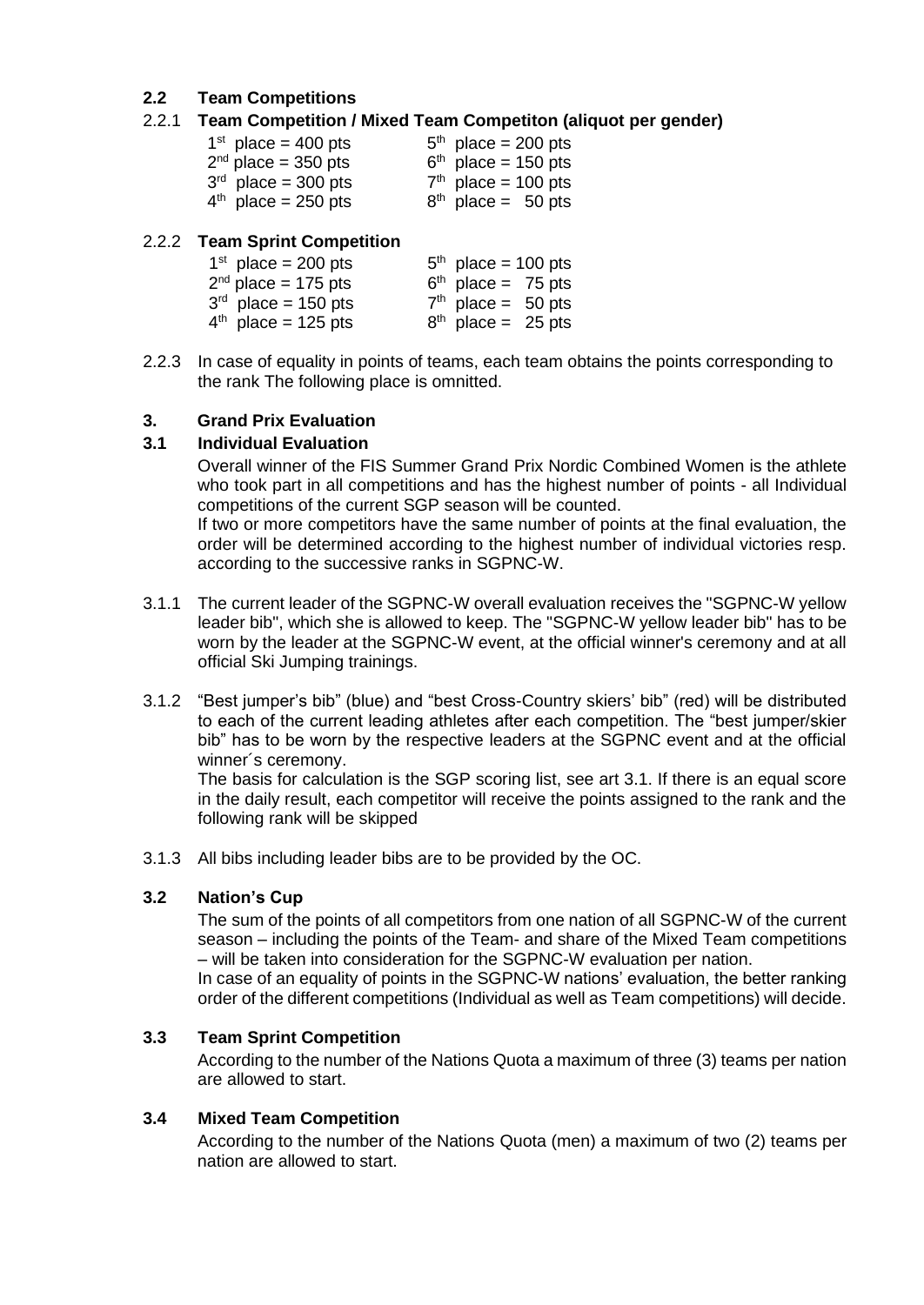# **2.2 Team Competitions**

## 2.2.1 **Team Competition / Mixed Team Competiton (aliquot per gender)**

| $1st$ place = 400 pts | $5th$ place = 200 pts |
|-----------------------|-----------------------|
| $2nd$ place = 350 pts | $6th$ place = 150 pts |
| $3rd$ place = 300 pts | $7th$ place = 100 pts |
| $4th$ place = 250 pts | $8th$ place = 50 pts  |

### 2.2.2 **Team Sprint Competition**

| $1st$ place = 200 pts | $5th$ place = 100 pts |  |
|-----------------------|-----------------------|--|
| $2nd$ place = 175 pts | $6th$ place = 75 pts  |  |
| $3rd$ place = 150 pts | $7th$ place = 50 pts  |  |
| $4th$ place = 125 pts | $8th$ place = 25 pts  |  |

2.2.3 In case of equality in points of teams, each team obtains the points corresponding to the rank The following place is omnitted.

## **3. Grand Prix Evaluation**

## **3.1 Individual Evaluation**

Overall winner of the FIS Summer Grand Prix Nordic Combined Women is the athlete who took part in all competitions and has the highest number of points - all Individual competitions of the current SGP season will be counted.

If two or more competitors have the same number of points at the final evaluation, the order will be determined according to the highest number of individual victories resp. according to the successive ranks in SGPNC-W.

- 3.1.1 The current leader of the SGPNC-W overall evaluation receives the "SGPNC-W yellow leader bib", which she is allowed to keep. The "SGPNC-W yellow leader bib" has to be worn by the leader at the SGPNC-W event, at the official winner's ceremony and at all official Ski Jumping trainings.
- 3.1.2 "Best jumper's bib" (blue) and "best Cross-Country skiers' bib" (red) will be distributed to each of the current leading athletes after each competition. The "best jumper/skier bib" has to be worn by the respective leaders at the SGPNC event and at the official winner´s ceremony.

The basis for calculation is the SGP scoring list, see art 3.1. If there is an equal score in the daily result, each competitor will receive the points assigned to the rank and the following rank will be skipped

3.1.3 All bibs including leader bibs are to be provided by the OC.

### **3.2 Nation's Cup**

The sum of the points of all competitors from one nation of all SGPNC-W of the current season – including the points of the Team- and share of the Mixed Team competitions – will be taken into consideration for the SGPNC-W evaluation per nation. In case of an equality of points in the SGPNC-W nations' evaluation, the better ranking order of the different competitions (Individual as well as Team competitions) will decide.

### **3.3 Team Sprint Competition**

According to the number of the Nations Quota a maximum of three (3) teams per nation are allowed to start.

### **3.4 Mixed Team Competition**

According to the number of the Nations Quota (men) a maximum of two (2) teams per nation are allowed to start.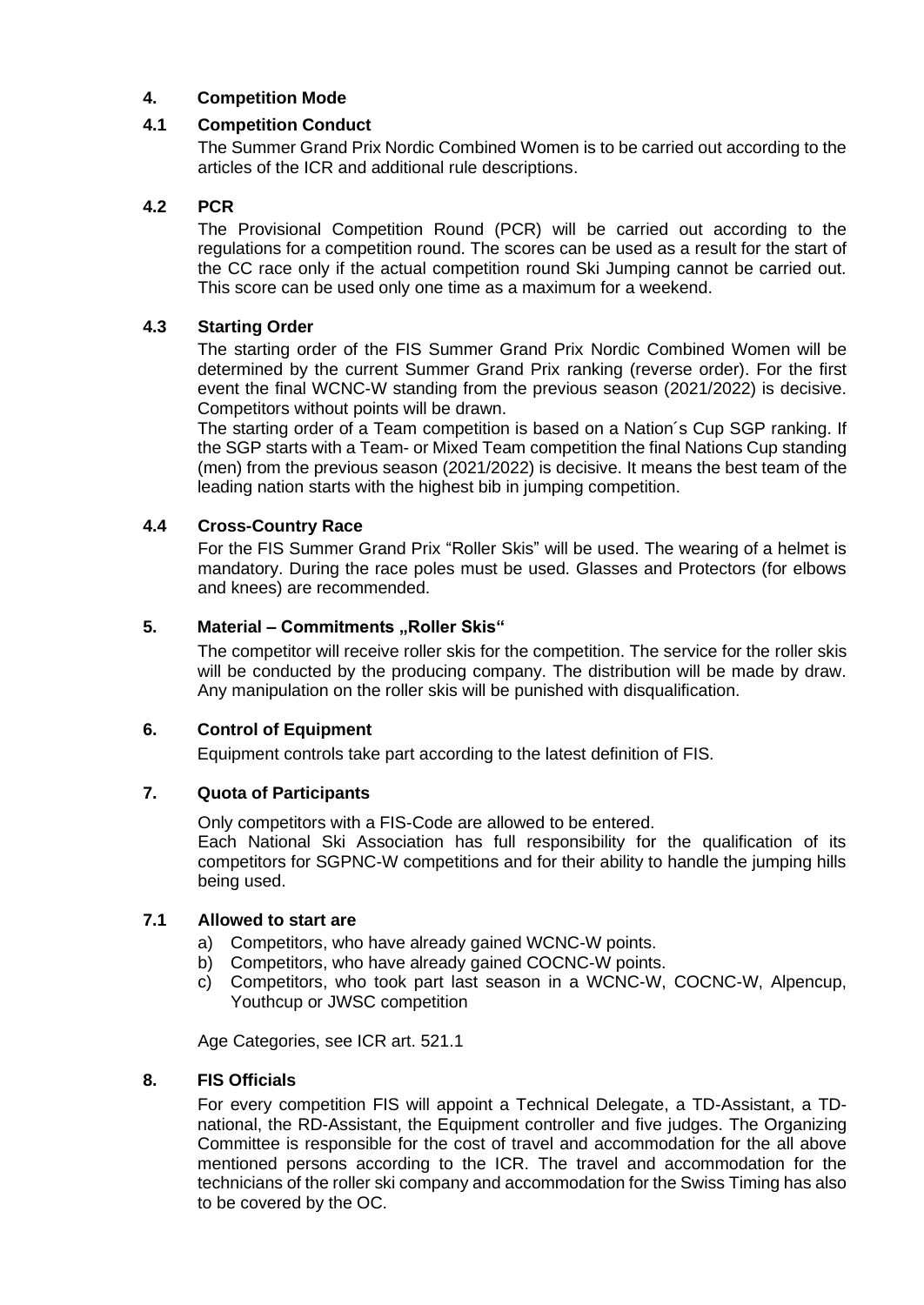# **4. Competition Mode**

### **4.1 Competition Conduct**

The Summer Grand Prix Nordic Combined Women is to be carried out according to the articles of the ICR and additional rule descriptions.

### **4.2 PCR**

The Provisional Competition Round (PCR) will be carried out according to the regulations for a competition round. The scores can be used as a result for the start of the CC race only if the actual competition round Ski Jumping cannot be carried out. This score can be used only one time as a maximum for a weekend.

### **4.3 Starting Order**

The starting order of the FIS Summer Grand Prix Nordic Combined Women will be determined by the current Summer Grand Prix ranking (reverse order). For the first event the final WCNC-W standing from the previous season (2021/2022) is decisive. Competitors without points will be drawn.

The starting order of a Team competition is based on a Nation´s Cup SGP ranking. If the SGP starts with a Team- or Mixed Team competition the final Nations Cup standing (men) from the previous season (2021/2022) is decisive. It means the best team of the leading nation starts with the highest bib in jumping competition.

### **4.4 Cross-Country Race**

For the FIS Summer Grand Prix "Roller Skis" will be used. The wearing of a helmet is mandatory. During the race poles must be used. Glasses and Protectors (for elbows and knees) are [recommended.](http://dict.leo.org/ende?lp=ende&p=Ci4HO3kMAA&search=recommended&trestr=0x8004)

### **5.** Material – Commitments "Roller Skis"

The competitor will receive roller skis for the competition. The service for the roller skis will be conducted by the producing company. The distribution will be made by draw. Any manipulation on the roller skis will be punished with disqualification.

### **6. Control of Equipment**

Equipment controls take part according to the latest definition of FIS.

### **7. Quota of Participants**

Only competitors with a FIS-Code are allowed to be entered.

Each National Ski Association has full responsibility for the qualification of its competitors for SGPNC-W competitions and for their ability to handle the jumping hills being used.

## **7.1 Allowed to start are**

- a) Competitors, who have already gained WCNC-W points.
- b) Competitors, who have already gained COCNC-W points.
- c) Competitors, who took part last season in a WCNC-W, COCNC-W, Alpencup, Youthcup or JWSC competition

Age Categories, see ICR art. 521.1

### **8. FIS Officials**

For every competition FIS will appoint a Technical Delegate, a TD-Assistant, a TDnational, the RD-Assistant, the Equipment controller and five judges. The Organizing Committee is responsible for the cost of travel and accommodation for the all above mentioned persons according to the ICR. The travel and accommodation for the technicians of the roller ski company and accommodation for the Swiss Timing has also to be covered by the OC.